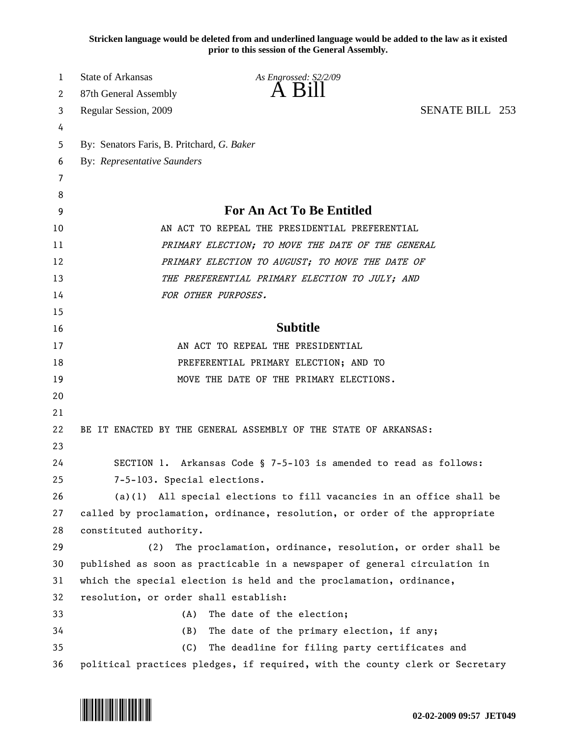**Stricken language would be deleted from and underlined language would be added to the law as it existed prior to this session of the General Assembly.**

| 1  | <b>State of Arkansas</b>                       | As Engrossed: S2/2/09                                                        |                        |  |
|----|------------------------------------------------|------------------------------------------------------------------------------|------------------------|--|
| 2  | 87th General Assembly                          | $\overline{A}$ $\overline{B}1$                                               |                        |  |
| 3  | Regular Session, 2009                          |                                                                              | <b>SENATE BILL 253</b> |  |
| 4  |                                                |                                                                              |                        |  |
| 5  | By: Senators Faris, B. Pritchard, G. Baker     |                                                                              |                        |  |
| 6  | <b>By: Representative Saunders</b>             |                                                                              |                        |  |
| 7  |                                                |                                                                              |                        |  |
| 8  |                                                |                                                                              |                        |  |
| 9  | <b>For An Act To Be Entitled</b>               |                                                                              |                        |  |
| 10 | AN ACT TO REPEAL THE PRESIDENTIAL PREFERENTIAL |                                                                              |                        |  |
| 11 |                                                | PRIMARY ELECTION; TO MOVE THE DATE OF THE GENERAL                            |                        |  |
| 12 |                                                | PRIMARY ELECTION TO AUGUST; TO MOVE THE DATE OF                              |                        |  |
| 13 |                                                | THE PREFERENTIAL PRIMARY ELECTION TO JULY; AND                               |                        |  |
| 14 | FOR OTHER PURPOSES.                            |                                                                              |                        |  |
| 15 |                                                |                                                                              |                        |  |
| 16 |                                                | <b>Subtitle</b>                                                              |                        |  |
| 17 |                                                | AN ACT TO REPEAL THE PRESIDENTIAL                                            |                        |  |
| 18 | PREFERENTIAL PRIMARY ELECTION; AND TO          |                                                                              |                        |  |
| 19 |                                                | MOVE THE DATE OF THE PRIMARY ELECTIONS.                                      |                        |  |
| 20 |                                                |                                                                              |                        |  |
| 21 |                                                |                                                                              |                        |  |
| 22 |                                                | BE IT ENACTED BY THE GENERAL ASSEMBLY OF THE STATE OF ARKANSAS:              |                        |  |
| 23 |                                                |                                                                              |                        |  |
| 24 |                                                | SECTION 1. Arkansas Code § 7-5-103 is amended to read as follows:            |                        |  |
| 25 | 7-5-103. Special elections.                    |                                                                              |                        |  |
| 26 |                                                | $(a)(1)$ All special elections to fill vacancies in an office shall be       |                        |  |
| 27 |                                                | called by proclamation, ordinance, resolution, or order of the appropriate   |                        |  |
| 28 | constituted authority.                         |                                                                              |                        |  |
| 29 | (2)                                            | The proclamation, ordinance, resolution, or order shall be                   |                        |  |
| 30 |                                                | published as soon as practicable in a newspaper of general circulation in    |                        |  |
| 31 |                                                | which the special election is held and the proclamation, ordinance,          |                        |  |
| 32 | resolution, or order shall establish:          |                                                                              |                        |  |
| 33 | (A)                                            | The date of the election;                                                    |                        |  |
| 34 | (B)                                            | The date of the primary election, if any;                                    |                        |  |
| 35 | (C)                                            | The deadline for filing party certificates and                               |                        |  |
| 36 |                                                | political practices pledges, if required, with the county clerk or Secretary |                        |  |

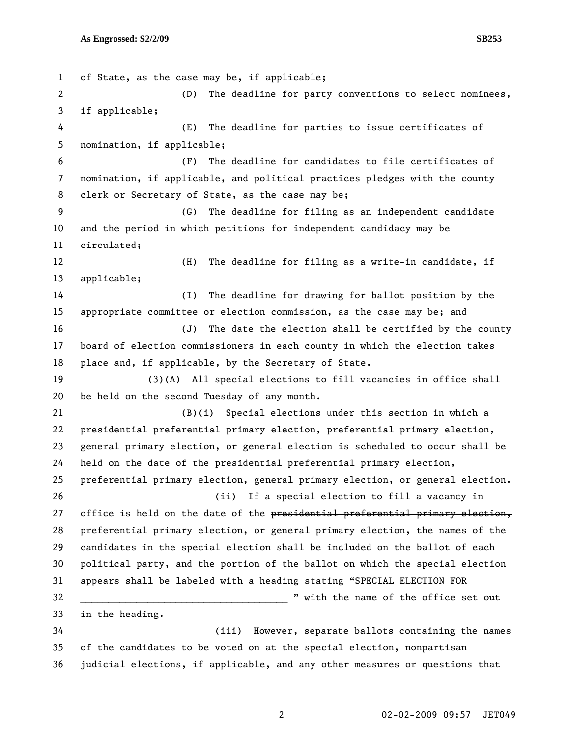1 of State, as the case may be, if applicable; 2 (D) The deadline for party conventions to select nominees, 3 if applicable; 4 (E) The deadline for parties to issue certificates of 5 nomination, if applicable; 6 (F) The deadline for candidates to file certificates of 7 nomination, if applicable, and political practices pledges with the county 8 clerk or Secretary of State, as the case may be; 9 (G) The deadline for filing as an independent candidate 10 and the period in which petitions for independent candidacy may be 11 circulated; 12 (H) The deadline for filing as a write-in candidate, if 13 applicable; 14 (I) The deadline for drawing for ballot position by the 15 appropriate committee or election commission, as the case may be; and 16 (J) The date the election shall be certified by the county 17 board of election commissioners in each county in which the election takes 18 place and, if applicable, by the Secretary of State. 19 (3)(A) All special elections to fill vacancies in office shall 20 be held on the second Tuesday of any month. 21 (B)(i) Special elections under this section in which a 22 presidential preferential primary election, preferential primary election, 23 general primary election, or general election is scheduled to occur shall be  $24$  held on the date of the presidential preferential primary election, 25 preferential primary election, general primary election, or general election. 26 (ii) If a special election to fill a vacancy in 27 office is held on the date of the presidential preferential primary election, 28 preferential primary election, or general primary election, the names of the 29 candidates in the special election shall be included on the ballot of each 30 political party, and the portion of the ballot on which the special election 31 appears shall be labeled with a heading stating "SPECIAL ELECTION FOR 32 \_\_\_\_\_\_\_\_\_\_\_\_\_\_\_\_\_\_\_\_\_\_\_\_\_\_\_\_\_\_\_\_\_\_\_\_\_ " with the name of the office set out 33 in the heading. 34 (iii) However, separate ballots containing the names 35 of the candidates to be voted on at the special election, nonpartisan

36 judicial elections, if applicable, and any other measures or questions that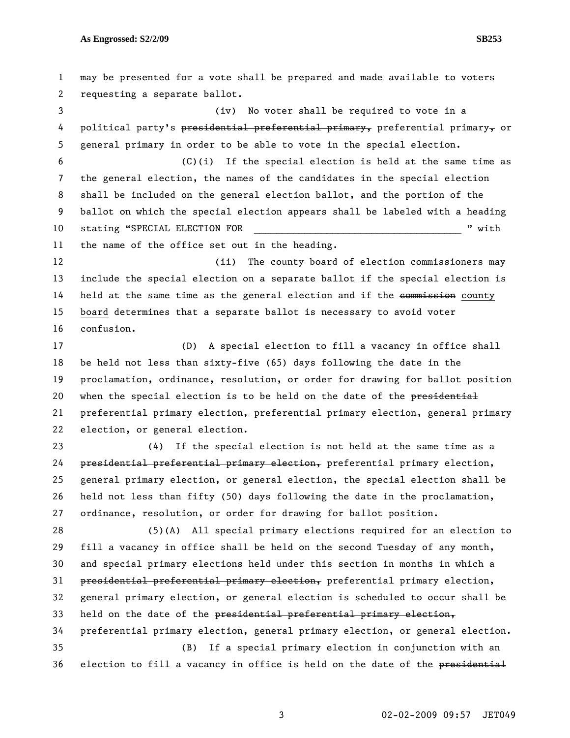1 may be presented for a vote shall be prepared and made available to voters 2 requesting a separate ballot. 3 (iv) No voter shall be required to vote in a 4 political party's presidential preferential primary, preferential primary, or 5 general primary in order to be able to vote in the special election. 6 (C)(i) If the special election is held at the same time as 7 the general election, the names of the candidates in the special election 8 shall be included on the general election ballot, and the portion of the 9 ballot on which the special election appears shall be labeled with a heading 10 stating "SPECIAL ELECTION FOR THE REGISTER RESOLUTION FOR THE REGISTER STATISTICS AND REGISTER AND REGISTER 11 the name of the office set out in the heading. 12 (ii) The county board of election commissioners may 13 include the special election on a separate ballot if the special election is 14 held at the same time as the general election and if the commission county 15 board determines that a separate ballot is necessary to avoid voter 16 confusion. 17 (D) A special election to fill a vacancy in office shall 18 be held not less than sixty-five (65) days following the date in the 19 proclamation, ordinance, resolution, or order for drawing for ballot position 20 when the special election is to be held on the date of the presidential 21 preferential primary election, preferential primary election, general primary 22 election, or general election. 23 (4) If the special election is not held at the same time as a 24 presidential preferential primary election, preferential primary election, 25 general primary election, or general election, the special election shall be 26 held not less than fifty (50) days following the date in the proclamation, 27 ordinance, resolution, or order for drawing for ballot position. 28 (5)(A) All special primary elections required for an election to 29 fill a vacancy in office shall be held on the second Tuesday of any month, 30 and special primary elections held under this section in months in which a 31 presidential preferential primary election, preferential primary election, 32 general primary election, or general election is scheduled to occur shall be 33 held on the date of the presidential preferential primary election, 34 preferential primary election, general primary election, or general election. 35 (B) If a special primary election in conjunction with an 36 election to fill a vacancy in office is held on the date of the presidential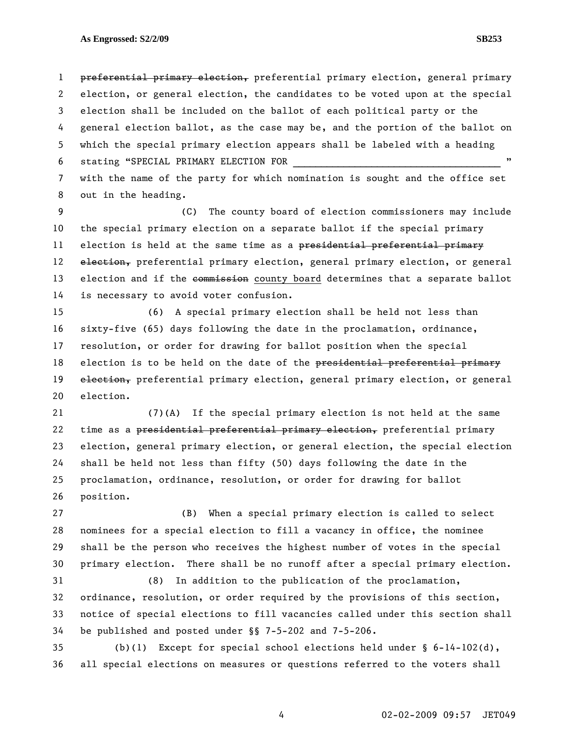1 preferential primary election, preferential primary election, general primary 2 election, or general election, the candidates to be voted upon at the special 3 election shall be included on the ballot of each political party or the 4 general election ballot, as the case may be, and the portion of the ballot on 5 which the special primary election appears shall be labeled with a heading 6 stating "SPECIAL PRIMARY ELECTION FOR 7 with the name of the party for which nomination is sought and the office set

8 out in the heading.

9 (C) The county board of election commissioners may include 10 the special primary election on a separate ballot if the special primary 11 election is held at the same time as a presidential preferential primary 12 election, preferential primary election, general primary election, or general 13 election and if the commission county board determines that a separate ballot 14 is necessary to avoid voter confusion.

15 (6) A special primary election shall be held not less than 16 sixty-five (65) days following the date in the proclamation, ordinance, 17 resolution, or order for drawing for ballot position when the special 18 election is to be held on the date of the presidential preferential primary 19 election, preferential primary election, general primary election, or general 20 election.

21 (7)(A) If the special primary election is not held at the same 22 time as a presidential preferential primary election, preferential primary 23 election, general primary election, or general election, the special election 24 shall be held not less than fifty (50) days following the date in the 25 proclamation, ordinance, resolution, or order for drawing for ballot 26 position.

27 (B) When a special primary election is called to select 28 nominees for a special election to fill a vacancy in office, the nominee 29 shall be the person who receives the highest number of votes in the special 30 primary election. There shall be no runoff after a special primary election.

31 (8) In addition to the publication of the proclamation, 32 ordinance, resolution, or order required by the provisions of this section, 33 notice of special elections to fill vacancies called under this section shall 34 be published and posted under §§ 7-5-202 and 7-5-206.

35 (b)(1) Except for special school elections held under § 6-14-102(d), 36 all special elections on measures or questions referred to the voters shall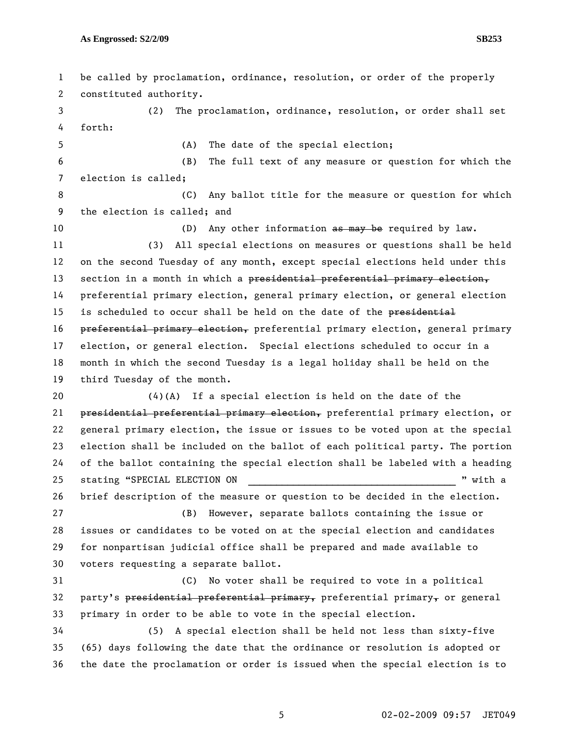1 be called by proclamation, ordinance, resolution, or order of the properly 2 constituted authority. 3 (2) The proclamation, ordinance, resolution, or order shall set 4 forth: 5 (A) The date of the special election; 6 (B) The full text of any measure or question for which the 7 election is called; 8 6 (C) Any ballot title for the measure or question for which 9 the election is called; and 10 (D) Any other information as may be required by law. 11 (3) All special elections on measures or questions shall be held 12 on the second Tuesday of any month, except special elections held under this 13 section in a month in which a presidential preferential primary election, 14 preferential primary election, general primary election, or general election 15 is scheduled to occur shall be held on the date of the presidential 16 preferential primary election, preferential primary election, general primary 17 election, or general election. Special elections scheduled to occur in a 18 month in which the second Tuesday is a legal holiday shall be held on the 19 third Tuesday of the month. 20  $(4)(A)$  If a special election is held on the date of the 21 presidential preferential primary election, preferential primary election, or 22 general primary election, the issue or issues to be voted upon at the special 23 election shall be included on the ballot of each political party. The portion 24 of the ballot containing the special election shall be labeled with a heading 25 stating "SPECIAL ELECTION ON  $\blacksquare$  " with a 26 brief description of the measure or question to be decided in the election. 27 (B) However, separate ballots containing the issue or 28 issues or candidates to be voted on at the special election and candidates 29 for nonpartisan judicial office shall be prepared and made available to 30 voters requesting a separate ballot. 31 (C) No voter shall be required to vote in a political 32 party's presidential preferential primary, preferential primary, or general 33 primary in order to be able to vote in the special election. 34 (5) A special election shall be held not less than sixty-five 35 (65) days following the date that the ordinance or resolution is adopted or 36 the date the proclamation or order is issued when the special election is to

5 02-02-2009 09:57 JET049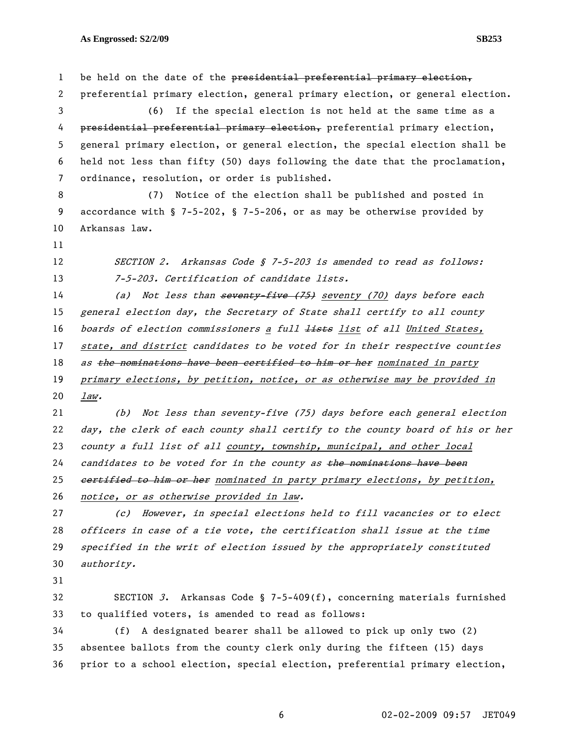1 be held on the date of the presidential preferential primary election, 2 preferential primary election, general primary election, or general election. 3 (6) If the special election is not held at the same time as a 4 presidential preferential primary election, preferential primary election, 5 general primary election, or general election, the special election shall be 6 held not less than fifty (50) days following the date that the proclamation, 7 ordinance, resolution, or order is published. 8 (7) Notice of the election shall be published and posted in 9 accordance with § 7-5-202, § 7-5-206, or as may be otherwise provided by 10 Arkansas law. 11 12 SECTION 2. Arkansas Code § 7-5-203 is amended to read as follows: 13 7-5-203. Certification of candidate lists. 14 (a) Not less than seventy five (75) seventy (70) days before each 15 general election day, the Secretary of State shall certify to all county 16 boards of election commissioners a full lists list of all United States, 17 state, and district candidates to be voted for in their respective counties 18 as the nominations have been certified to him or her nominated in party 19 primary elections, by petition, notice, or as otherwise may be provided in 20 law. 21 (b) Not less than seventy-five (75) days before each general election 22 day, the clerk of each county shall certify to the county board of his or her 23 county a full list of all county, township, municipal, and other local 24 candidates to be voted for in the county as the nominations have been 25 eertified to him or her nominated in party primary elections, by petition, 26 notice, or as otherwise provided in law. 27 (c) However, in special elections held to fill vacancies or to elect 28 officers in case of a tie vote, the certification shall issue at the time 29 specified in the writ of election issued by the appropriately constituted 30 authority. 31 32 SECTION 3. Arkansas Code § 7-5-409(f), concerning materials furnished 33 to qualified voters, is amended to read as follows: 34 (f) A designated bearer shall be allowed to pick up only two (2) 35 absentee ballots from the county clerk only during the fifteen (15) days

36 prior to a school election, special election, preferential primary election,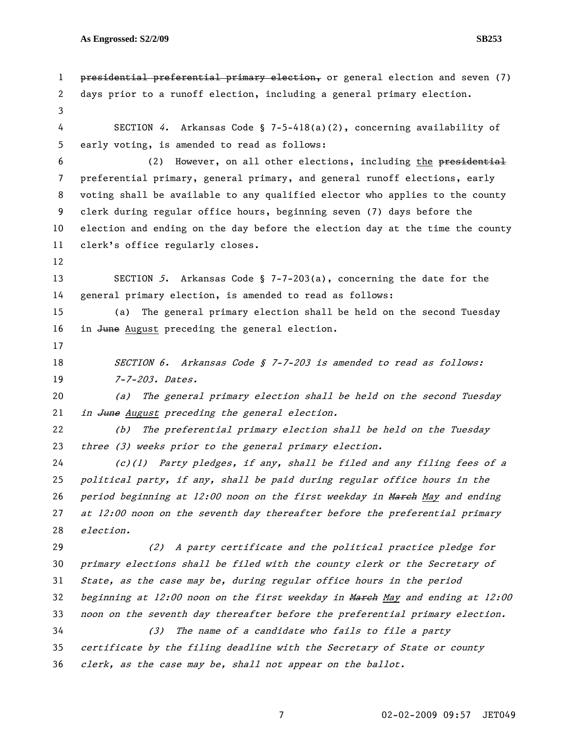1 presidential preferential primary election, or general election and seven (7) 2 days prior to a runoff election, including a general primary election. 3 4 SECTION 4. Arkansas Code § 7-5-418(a)(2), concerning availability of 5 early voting, is amended to read as follows: 6 (2) However, on all other elections, including the presidential 7 preferential primary, general primary, and general runoff elections, early 8 voting shall be available to any qualified elector who applies to the county 9 clerk during regular office hours, beginning seven (7) days before the 10 election and ending on the day before the election day at the time the county 11 clerk's office regularly closes. 12 13 SECTION 5. Arkansas Code § 7-7-203(a), concerning the date for the 14 general primary election, is amended to read as follows: 15 (a) The general primary election shall be held on the second Tuesday 16 in June August preceding the general election. 17 18 SECTION 6. Arkansas Code § 7-7-203 is amended to read as follows: 19 7-7-203. Dates. 20 (a) The general primary election shall be held on the second Tuesday 21 in June August preceding the general election. 22 (b) The preferential primary election shall be held on the Tuesday 23 three (3) weeks prior to the general primary election. 24 (c)(1) Party pledges, if any, shall be filed and any filing fees of a 25 political party, if any, shall be paid during regular office hours in the 26 period beginning at  $12:00$  noon on the first weekday in March May and ending 27 at 12:00 noon on the seventh day thereafter before the preferential primary 28 election. 29 (2) A party certificate and the political practice pledge for 30 primary elections shall be filed with the county clerk or the Secretary of 31 State, as the case may be, during regular office hours in the period 32 beginning at 12:00 noon on the first weekday in March May and ending at 12:00 33 noon on the seventh day thereafter before the preferential primary election. 34 (3) The name of a candidate who fails to file a party 35 certificate by the filing deadline with the Secretary of State or county 36 clerk, as the case may be, shall not appear on the ballot.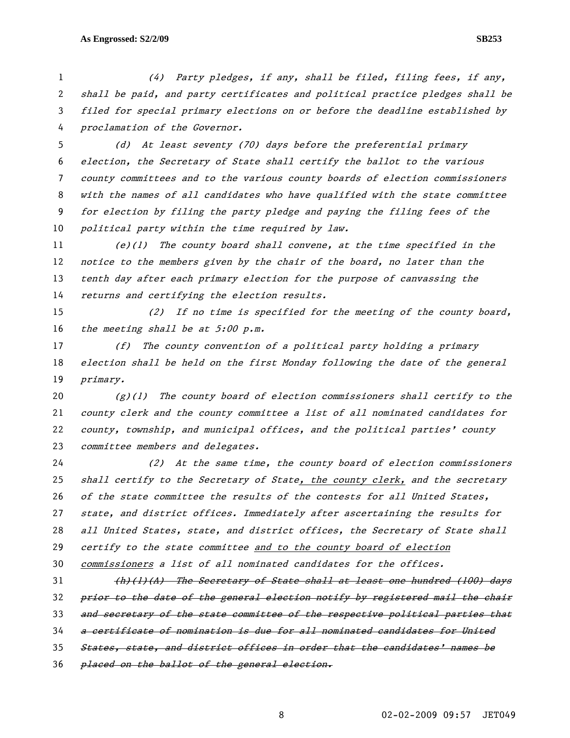(4) Party pledges, if any, shall be filed, filing fees, if any, shall be paid, and party certificates and political practice pledges shall be filed for special primary elections on or before the deadline established by proclamation of the Governor.

(d) At least seventy (70) days before the preferential primary election, the Secretary of State shall certify the ballot to the various county committees and to the various county boards of election commissioners with the names of all candidates who have qualified with the state committee for election by filing the party pledge and paying the filing fees of the 10 political party within the time required by law.

(e)(1) The county board shall convene, at the time specified in the 12 notice to the members given by the chair of the board, no later than the tenth day after each primary election for the purpose of canvassing the returns and certifying the election results.

(2) If no time is specified for the meeting of the county board, 16 the meeting shall be at  $5:00$  p.m.

(f) The county convention of a political party holding a primary election shall be held on the first Monday following the date of the general primary.

 $(g)(1)$  The county board of election commissioners shall certify to the county clerk and the county committee a list of all nominated candidates for county, township, and municipal offices, and the political parties' county 23 committee members and delegates.

(2) At the same time, the county board of election commissioners shall certify to the Secretary of State, the county clerk, and the secretary 26 of the state committee the results of the contests for all United States, state, and district offices. Immediately after ascertaining the results for all United States, state, and district offices, the Secretary of State shall certify to the state committee and to the county board of election commissioners a list of all nominated candidates for the offices.

 $(h)(1)(A)$  The Secretary of State shall at least one hundred (100) days 32 prior to the date of the general election notify by registered mail the chair 33 and secretary of the state committee of the respective political parties that a certificate of nomination is due for all nominated candidates for United States, state, and district offices in order that the candidates' names be 36 placed on the ballot of the general election.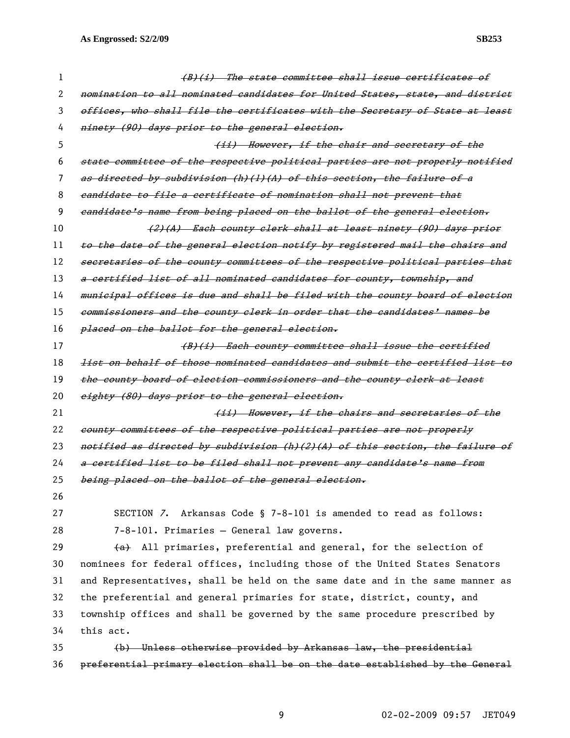| 1  | (B)(i) The state committee shall issue certificates of                        |
|----|-------------------------------------------------------------------------------|
| 2  | nomination to all nominated candidates for United States, state, and district |
| 3  | offices, who shall file the certificates with the Secretary of State at least |
| 4  | ninety (90) days prior to the general election.                               |
| 5  | (ii) However, if the chair and secretary of the                               |
| 6  | state committee of the respective political parties are not properly notified |
| 7  | as directed by subdivision (h)(l)(A) of this section, the failure of a        |
| 8  | eandidate to file a certificate of nomination shall not prevent that          |
| 9  | eandidate's name from being placed on the ballot of the general election.     |
| 10 | (2)(A) Each county clerk shall at least ninety (90) days prior                |
| 11 | to the date of the general election notify by registered mail the chairs and  |
| 12 | secretaries of the county committees of the respective political parties that |
| 13 | a certified list of all nominated candidates for county, township, and        |
| 14 | municipal offices is due and shall be filed with the county board of election |
| 15 | commissioners and the county clerk in order that the candidates' names be     |
| 16 | placed on the ballot for the general election.                                |
| 17 | (B)(i) Each county committee shall issue the certified                        |
| 18 | list on behalf of those nominated candidates and submit the certified list to |
| 19 | the county board of election commissioners and the county elerk at least      |
| 20 | eighty (80) days prior to the general election.                               |
| 21 | (ii) However, if the chairs and secretaries of the                            |
| 22 | county committees of the respective political parties are not properly        |
| 23 | notified as directed by subdivision (h)(2)(A) of this section, the failure of |
| 24 | a certified list to be filed shall not prevent any candidate's name from      |
| 25 | being placed on the ballot of the general election.                           |
| 26 |                                                                               |
| 27 | SECTION 7. Arkansas Code § 7-8-101 is amended to read as follows:             |
| 28 | 7-8-101. Primaries - General law governs.                                     |
| 29 | (a) All primaries, preferential and general, for the selection of             |
| 30 | nominees for federal offices, including those of the United States Senators   |
| 31 | and Representatives, shall be held on the same date and in the same manner as |
| 32 | the preferential and general primaries for state, district, county, and       |
| 33 | township offices and shall be governed by the same procedure prescribed by    |
| 34 | this act.                                                                     |
| 35 | (b) Unless otherwise provided by Arkansas law, the presidential               |
| 36 | preferential primary election shall be on the date established by the General |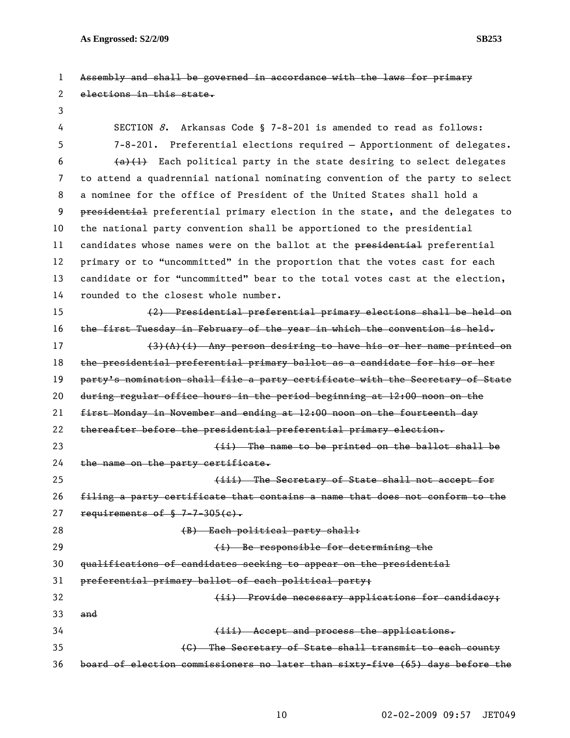1 Assembly and shall be governed in accordance with the laws for primary 2 elections in this state. 3 4 SECTION 8. Arkansas Code § 7-8-201 is amended to read as follows: 5 7-8-201. Preferential elections required – Apportionment of delegates. 6  $(a)(1)$  Each political party in the state desiring to select delegates 7 to attend a quadrennial national nominating convention of the party to select 8 a nominee for the office of President of the United States shall hold a 9 presidential preferential primary election in the state, and the delegates to 10 the national party convention shall be apportioned to the presidential 11 candidates whose names were on the ballot at the presidential preferential 12 primary or to "uncommitted" in the proportion that the votes cast for each 13 candidate or for "uncommitted" bear to the total votes cast at the election, 14 rounded to the closest whole number. 15 (2) Presidential preferential primary elections shall be held on 16 the first Tuesday in February of the year in which the convention is held.  $17$  (3)(A)(i) Any person desiring to have his or her name printed on 18 the presidential preferential primary ballot as a candidate for his or her 19 party's nomination shall file a party certificate with the Secretary of State 20 during regular office hours in the period beginning at 12:00 noon on the 21 first Monday in November and ending at 12:00 noon on the fourteenth day 22 thereafter before the presidential preferential primary election. 23 (ii) The name to be printed on the ballot shall be 24 the name on the party certificate. 25 **120 Constructs** (iii) The Secretary of State shall not accept for 26 filing a party certificate that contains a name that does not conform to the

27 requirements of  $$7-7-305(e)$ .

28 (B) Each political party shall:

29 **(i)** Be responsible for determining the

30 qualifications of candidates seeking to appear on the presidential

31 preferential primary ballot of each political party;

32 **Example 20 Inches** (ii) Provide necessary applications for candidacy; 33 and 34 (iii) Accept and process the applications. 35 (C) The Secretary of State shall transmit to each county 36 board of election commissioners no later than sixty-five (65) days before the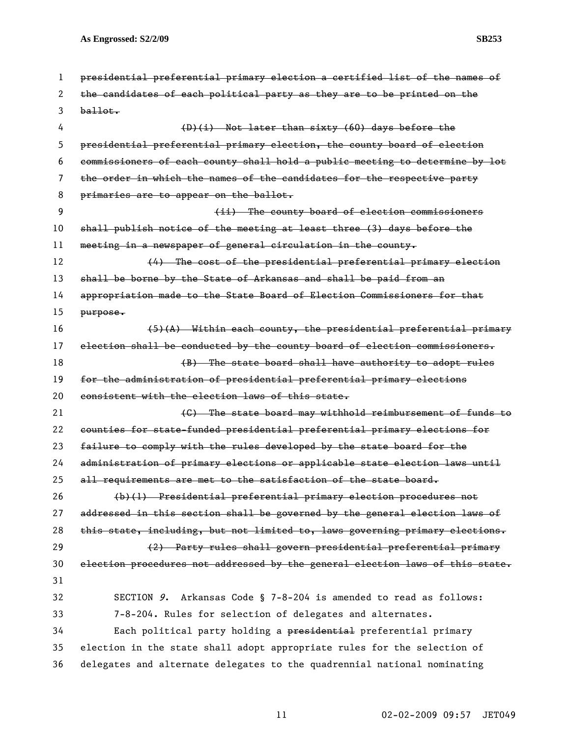| 1  | presidential preferential primary election a certified list of the names of   |
|----|-------------------------------------------------------------------------------|
| 2  | the candidates of each political party as they are to be printed on the       |
| 3  | $b$ allot.                                                                    |
| 4  | $(D)(i)$ Not later than sixty (60) days before the                            |
| 5  | presidential preferential primary election, the county board of election      |
| 6  | commissioners of each county shall hold a public meeting to determine by lot  |
| 7  | the order in which the names of the candidates for the respective party       |
| 8  | primaries are to appear on the ballot.                                        |
| 9  | (ii) The county board of election commissioners                               |
| 10 | shall publish notice of the meeting at least three (3) days before the        |
| 11 | meeting in a newspaper of general circulation in the county.                  |
| 12 | $(4)$ The cost of the presidential preferential primary election              |
| 13 | shall be borne by the State of Arkansas and shall be paid from an             |
| 14 | appropriation made to the State Board of Election Commissioners for that      |
| 15 | purpose.                                                                      |
| 16 | $(5)$ (A) Within each county, the presidential preferential primary           |
| 17 | election shall be conducted by the county board of election commissioners.    |
| 18 | (B) The state board shall have authority to adopt rules                       |
| 19 | for the administration of presidential preferential primary elections         |
| 20 | consistent with the election laws of this state.                              |
| 21 | (C) The state board may withhold reimbursement of funds to                    |
| 22 | counties for state-funded presidential preferential primary elections for     |
| 23 | failure to comply with the rules developed by the state board for the         |
| 24 | administration of primary elections or applicable state election laws until   |
| 25 | all requirements are met to the satisfaction of the state board.              |
| 26 | (b)(1) Presidential preferential primary election procedures not              |
| 27 | addressed in this section shall be governed by the general election laws of   |
| 28 | this state, including, but not limited to, laws governing primary elections.  |
| 29 | (2) Party rules shall govern presidential preferential primary                |
| 30 | election procedures not addressed by the general election laws of this state. |
| 31 |                                                                               |
| 32 | SECTION 9. Arkansas Code § 7-8-204 is amended to read as follows:             |
| 33 | 7-8-204. Rules for selection of delegates and alternates.                     |
| 34 | Each political party holding a presidential preferential primary              |
| 35 | election in the state shall adopt appropriate rules for the selection of      |
| 36 | delegates and alternate delegates to the quadrennial national nominating      |